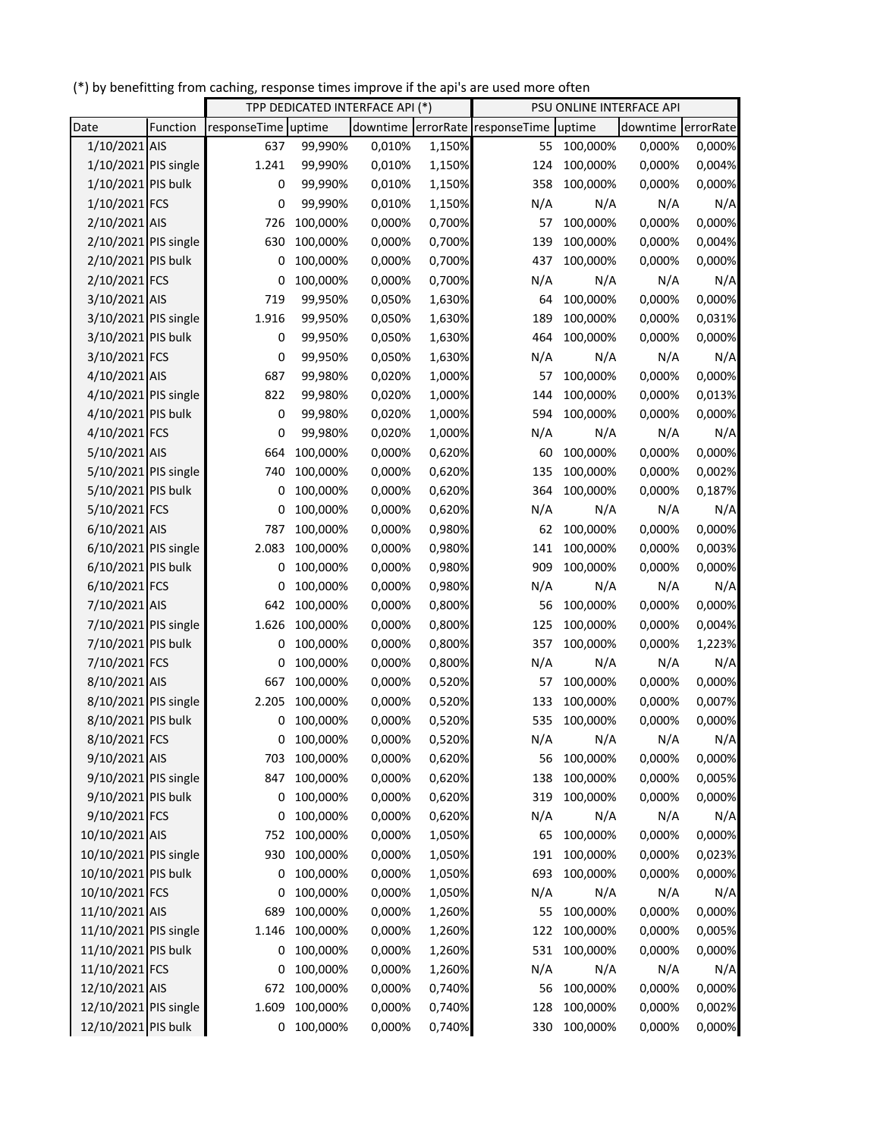(\*) by benefitting from caching, response times improve if the api's are used more often

|                       |          | TPP DEDICATED INTERFACE API (*) |            |          | PSU ONLINE INTERFACE API |                        |          |                    |        |
|-----------------------|----------|---------------------------------|------------|----------|--------------------------|------------------------|----------|--------------------|--------|
| Date                  | Function | responseTime uptime             |            | downtime |                          | errorRate responseTime | uptime   | downtime errorRate |        |
| 1/10/2021 AIS         |          | 637                             | 99,990%    | 0,010%   | 1,150%                   | 55                     | 100,000% | 0,000%             | 0,000% |
| 1/10/2021 PIS single  |          | 1.241                           | 99,990%    | 0,010%   | 1,150%                   | 124                    | 100,000% | 0,000%             | 0,004% |
| 1/10/2021 PIS bulk    |          | 0                               | 99,990%    | 0,010%   | 1,150%                   | 358                    | 100,000% | 0,000%             | 0,000% |
| 1/10/2021 FCS         |          | 0                               | 99,990%    | 0,010%   | 1,150%                   | N/A                    | N/A      | N/A                | N/A    |
| 2/10/2021 AIS         |          | 726                             | 100,000%   | 0,000%   | 0,700%                   | 57                     | 100,000% | 0,000%             | 0,000% |
| 2/10/2021 PIS single  |          | 630                             | 100,000%   | 0,000%   | 0,700%                   | 139                    | 100,000% | 0,000%             | 0,004% |
| 2/10/2021 PIS bulk    |          | 0                               | 100,000%   | 0,000%   | 0,700%                   | 437                    | 100,000% | 0,000%             | 0,000% |
| 2/10/2021 FCS         |          | 0                               | 100,000%   | 0,000%   | 0,700%                   | N/A                    | N/A      | N/A                | N/A    |
| 3/10/2021 AIS         |          | 719                             | 99,950%    | 0,050%   | 1,630%                   | 64                     | 100,000% | 0,000%             | 0,000% |
| 3/10/2021 PIS single  |          | 1.916                           | 99,950%    | 0,050%   | 1,630%                   | 189                    | 100,000% | 0,000%             | 0,031% |
| 3/10/2021 PIS bulk    |          | 0                               | 99,950%    | 0,050%   | 1,630%                   | 464                    | 100,000% | 0,000%             | 0,000% |
| 3/10/2021 FCS         |          | $\pmb{0}$                       | 99,950%    | 0,050%   | 1,630%                   | N/A                    | N/A      | N/A                | N/A    |
| 4/10/2021 AIS         |          | 687                             | 99,980%    | 0,020%   | 1,000%                   | 57                     | 100,000% | 0,000%             | 0,000% |
| 4/10/2021 PIS single  |          | 822                             | 99,980%    | 0,020%   | 1,000%                   | 144                    | 100,000% | 0,000%             | 0,013% |
| 4/10/2021 PIS bulk    |          | 0                               | 99,980%    | 0,020%   | 1,000%                   | 594                    | 100,000% | 0,000%             | 0,000% |
| 4/10/2021 FCS         |          | 0                               | 99,980%    | 0,020%   | 1,000%                   | N/A                    | N/A      | N/A                | N/A    |
| 5/10/2021 AIS         |          | 664                             | 100,000%   | 0,000%   | 0,620%                   | 60                     | 100,000% | 0,000%             | 0,000% |
| 5/10/2021 PIS single  |          | 740                             | 100,000%   | 0,000%   | 0,620%                   | 135                    | 100,000% | 0,000%             | 0,002% |
| 5/10/2021 PIS bulk    |          | 0                               | 100,000%   | 0,000%   | 0,620%                   | 364                    | 100,000% | 0,000%             | 0,187% |
| 5/10/2021 FCS         |          | 0                               | 100,000%   | 0,000%   | 0,620%                   | N/A                    | N/A      | N/A                | N/A    |
| 6/10/2021 AIS         |          | 787                             | 100,000%   | 0,000%   | 0,980%                   | 62                     | 100,000% | 0,000%             | 0,000% |
| 6/10/2021 PIS single  |          | 2.083                           | 100,000%   | 0,000%   | 0,980%                   | 141                    | 100,000% | 0,000%             | 0,003% |
| 6/10/2021 PIS bulk    |          | 0                               | 100,000%   | 0,000%   | 0,980%                   | 909                    | 100,000% | 0,000%             | 0,000% |
| 6/10/2021 FCS         |          | 0                               | 100,000%   | 0,000%   | 0,980%                   | N/A                    | N/A      | N/A                | N/A    |
| 7/10/2021 AIS         |          | 642                             | 100,000%   | 0,000%   | 0,800%                   | 56                     | 100,000% | 0,000%             | 0,000% |
| 7/10/2021 PIS single  |          | 1.626                           | 100,000%   | 0,000%   | 0,800%                   | 125                    | 100,000% | 0,000%             | 0,004% |
| 7/10/2021 PIS bulk    |          | 0                               | 100,000%   | 0,000%   | 0,800%                   | 357                    | 100,000% | 0,000%             | 1,223% |
| 7/10/2021 FCS         |          | 0                               | 100,000%   | 0,000%   | 0,800%                   | N/A                    | N/A      | N/A                | N/A    |
| 8/10/2021 AIS         |          | 667                             | 100,000%   | 0,000%   | 0,520%                   | 57                     | 100,000% | 0,000%             | 0,000% |
| 8/10/2021 PIS single  |          | 2.205                           | 100,000%   | 0,000%   | 0,520%                   | 133                    | 100,000% | 0,000%             | 0,007% |
| 8/10/2021 PIS bulk    |          | 0                               | 100,000%   | 0,000%   | 0,520%                   | 535                    | 100,000% | 0,000%             | 0,000% |
| 8/10/2021 FCS         |          |                                 | 0 100,000% | 0,000%   | 0,520%                   | N/A                    | N/A      | N/A                | N/A    |
| 9/10/2021 AIS         |          | 703                             | 100,000%   | 0,000%   | 0,620%                   | 56                     | 100,000% | 0,000%             | 0,000% |
| 9/10/2021 PIS single  |          | 847                             | 100,000%   | 0,000%   | 0,620%                   | 138                    | 100,000% | 0,000%             | 0,005% |
| 9/10/2021 PIS bulk    |          | 0                               | 100,000%   | 0,000%   | 0,620%                   | 319                    | 100,000% | 0,000%             | 0,000% |
| 9/10/2021 FCS         |          | 0                               | 100,000%   | 0,000%   | 0,620%                   | N/A                    | N/A      | N/A                | N/A    |
| 10/10/2021 AIS        |          | 752                             | 100,000%   | 0,000%   | 1,050%                   | 65                     | 100,000% | 0,000%             | 0,000% |
| 10/10/2021 PIS single |          | 930                             | 100,000%   | 0,000%   | 1,050%                   | 191                    | 100,000% | 0,000%             | 0,023% |
| 10/10/2021 PIS bulk   |          | 0                               | 100,000%   | 0,000%   | 1,050%                   | 693                    | 100,000% | 0,000%             | 0,000% |
| 10/10/2021 FCS        |          | 0                               | 100,000%   | 0,000%   | 1,050%                   | N/A                    | N/A      | N/A                | N/A    |
| 11/10/2021 AIS        |          | 689                             | 100,000%   | 0,000%   | 1,260%                   | 55                     | 100,000% | 0,000%             | 0,000% |
| 11/10/2021 PIS single |          | 1.146                           | 100,000%   | 0,000%   | 1,260%                   | 122                    | 100,000% | 0,000%             | 0,005% |
| 11/10/2021 PIS bulk   |          | 0                               | 100,000%   | 0,000%   | 1,260%                   | 531                    | 100,000% | 0,000%             | 0,000% |
| 11/10/2021 FCS        |          | 0                               | 100,000%   | 0,000%   | 1,260%                   | N/A                    | N/A      | N/A                | N/A    |
| 12/10/2021 AIS        |          | 672                             | 100,000%   | 0,000%   | 0,740%                   | 56                     | 100,000% | 0,000%             | 0,000% |
| 12/10/2021 PIS single |          | 1.609                           | 100,000%   | 0,000%   | 0,740%                   | 128                    | 100,000% | 0,000%             | 0,002% |
| 12/10/2021 PIS bulk   |          | 0                               | 100,000%   | 0,000%   | 0,740%                   | 330                    | 100,000% | 0,000%             | 0,000% |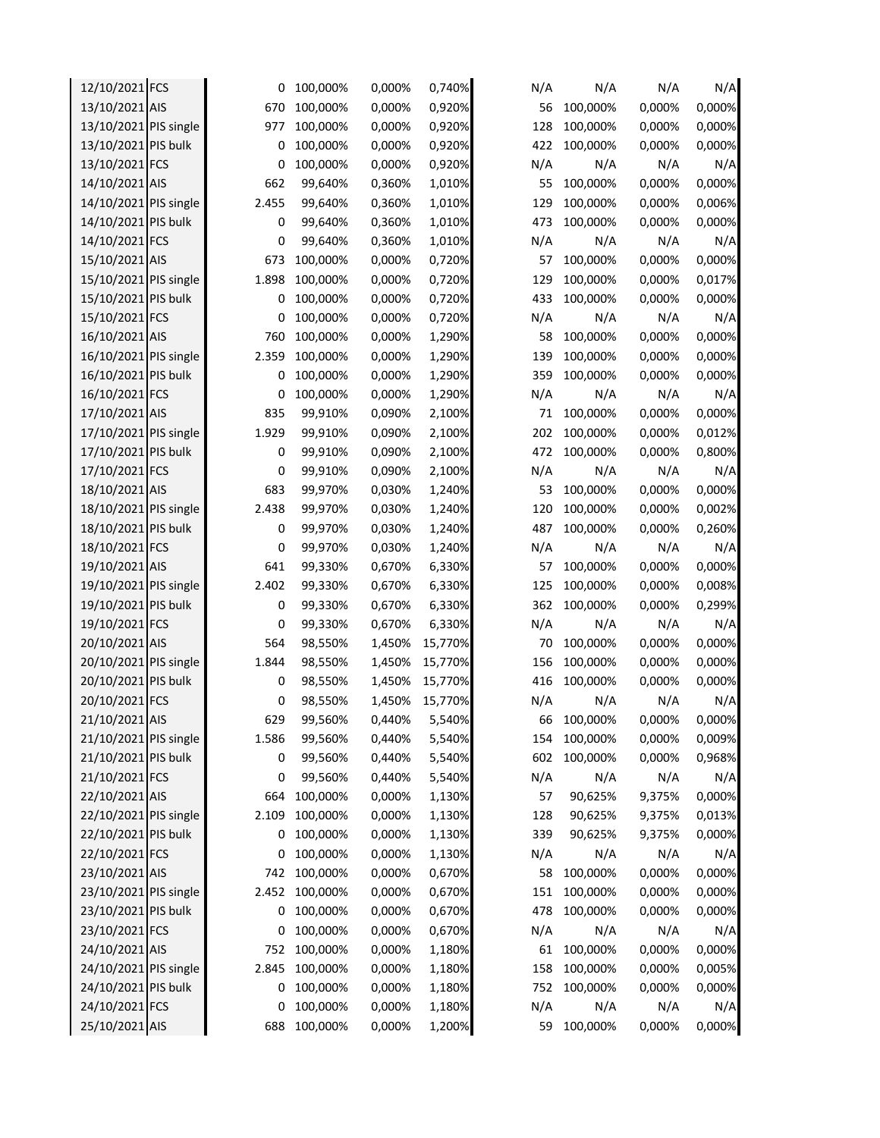| 12/10/2021 FCS        | 0     | 100,000% | 0,000% | 0,740%  | N/A | N/A      | N/A    | N/A    |
|-----------------------|-------|----------|--------|---------|-----|----------|--------|--------|
| 13/10/2021 AIS        | 670   | 100,000% | 0,000% | 0,920%  | 56  | 100,000% | 0,000% | 0,000% |
| 13/10/2021 PIS single | 977   | 100,000% | 0,000% | 0,920%  | 128 | 100,000% | 0,000% | 0,000% |
| 13/10/2021 PIS bulk   | 0     | 100,000% | 0,000% | 0,920%  | 422 | 100,000% | 0,000% | 0,000% |
| 13/10/2021 FCS        | 0     | 100,000% | 0,000% | 0,920%  | N/A | N/A      | N/A    | N/A    |
| 14/10/2021 AIS        | 662   | 99,640%  | 0,360% | 1,010%  | 55  | 100,000% | 0,000% | 0,000% |
| 14/10/2021 PIS single | 2.455 | 99,640%  | 0,360% | 1,010%  | 129 | 100,000% | 0,000% | 0,006% |
| 14/10/2021 PIS bulk   | 0     | 99,640%  | 0,360% | 1,010%  | 473 | 100,000% | 0,000% | 0,000% |
| 14/10/2021 FCS        | 0     | 99,640%  | 0,360% | 1,010%  | N/A | N/A      | N/A    | N/A    |
| 15/10/2021 AIS        | 673   | 100,000% | 0,000% | 0,720%  | 57  | 100,000% | 0,000% | 0,000% |
| 15/10/2021 PIS single | 1.898 | 100,000% | 0,000% | 0,720%  | 129 | 100,000% | 0,000% | 0,017% |
| 15/10/2021 PIS bulk   | 0     | 100,000% | 0,000% | 0,720%  | 433 | 100,000% | 0,000% | 0,000% |
| 15/10/2021 FCS        | 0     | 100,000% | 0,000% | 0,720%  | N/A | N/A      | N/A    | N/A    |
| 16/10/2021 AIS        | 760   | 100,000% | 0,000% | 1,290%  | 58  | 100,000% | 0,000% | 0,000% |
| 16/10/2021 PIS single | 2.359 | 100,000% | 0,000% | 1,290%  | 139 | 100,000% | 0,000% | 0,000% |
| 16/10/2021 PIS bulk   | 0     | 100,000% | 0,000% | 1,290%  | 359 | 100,000% | 0,000% | 0,000% |
| 16/10/2021 FCS        | 0     | 100,000% | 0,000% | 1,290%  | N/A | N/A      | N/A    | N/A    |
| 17/10/2021 AIS        | 835   | 99,910%  | 0,090% | 2,100%  | 71  | 100,000% | 0,000% | 0,000% |
| 17/10/2021 PIS single | 1.929 | 99,910%  | 0,090% | 2,100%  | 202 | 100,000% | 0,000% | 0,012% |
| 17/10/2021 PIS bulk   | 0     | 99,910%  | 0,090% | 2,100%  | 472 | 100,000% | 0,000% | 0,800% |
| 17/10/2021 FCS        | 0     | 99,910%  | 0,090% | 2,100%  | N/A | N/A      | N/A    | N/A    |
| 18/10/2021 AIS        | 683   | 99,970%  | 0,030% | 1,240%  | 53  | 100,000% | 0,000% | 0,000% |
| 18/10/2021 PIS single | 2.438 | 99,970%  | 0,030% | 1,240%  | 120 | 100,000% | 0,000% | 0,002% |
|                       |       |          |        |         |     |          |        |        |
| 18/10/2021 PIS bulk   | 0     | 99,970%  | 0,030% | 1,240%  | 487 | 100,000% | 0,000% | 0,260% |
| 18/10/2021 FCS        | 0     | 99,970%  | 0,030% | 1,240%  | N/A | N/A      | N/A    | N/A    |
| 19/10/2021 AIS        | 641   | 99,330%  | 0,670% | 6,330%  | 57  | 100,000% | 0,000% | 0,000% |
| 19/10/2021 PIS single | 2.402 | 99,330%  | 0,670% | 6,330%  | 125 | 100,000% | 0,000% | 0,008% |
| 19/10/2021 PIS bulk   | 0     | 99,330%  | 0,670% | 6,330%  | 362 | 100,000% | 0,000% | 0,299% |
| 19/10/2021 FCS        | 0     | 99,330%  | 0,670% | 6,330%  | N/A | N/A      | N/A    | N/A    |
| 20/10/2021 AIS        | 564   | 98,550%  | 1,450% | 15,770% | 70  | 100,000% | 0,000% | 0,000% |
| 20/10/2021 PIS single | 1.844 | 98,550%  | 1,450% | 15,770% | 156 | 100,000% | 0,000% | 0,000% |
| 20/10/2021 PIS bulk   | 0     | 98,550%  | 1,450% | 15,770% | 416 | 100,000% | 0,000% | 0,000% |
| 20/10/2021 FCS        | 0     | 98,550%  | 1,450% | 15,770% | N/A | N/A      | N/A    | N/A    |
| 21/10/2021 AIS        | 629   | 99,560%  | 0,440% | 5,540%  | 66  | 100,000% | 0,000% | 0,000% |
| 21/10/2021 PIS single | 1.586 | 99,560%  | 0,440% | 5,540%  | 154 | 100,000% | 0,000% | 0,009% |
| 21/10/2021 PIS bulk   | 0     | 99,560%  | 0,440% | 5,540%  | 602 | 100,000% | 0,000% | 0,968% |
| 21/10/2021 FCS        | 0     | 99,560%  | 0,440% | 5,540%  | N/A | N/A      | N/A    | N/A    |
| 22/10/2021 AIS        | 664   | 100,000% | 0,000% | 1,130%  | 57  | 90,625%  | 9,375% | 0,000% |
| 22/10/2021 PIS single | 2.109 | 100,000% | 0,000% | 1,130%  | 128 | 90,625%  | 9,375% | 0,013% |
| 22/10/2021 PIS bulk   | 0     | 100,000% | 0,000% | 1,130%  | 339 | 90,625%  | 9,375% | 0,000% |
| 22/10/2021 FCS        | 0     | 100,000% | 0,000% | 1,130%  | N/A | N/A      | N/A    | N/A    |
| 23/10/2021 AIS        | 742   | 100,000% | 0,000% | 0,670%  | 58  | 100,000% | 0,000% | 0,000% |
| 23/10/2021 PIS single | 2.452 | 100,000% | 0,000% | 0,670%  | 151 | 100,000% | 0,000% | 0,000% |
| 23/10/2021 PIS bulk   | 0     | 100,000% | 0,000% | 0,670%  | 478 | 100,000% | 0,000% | 0,000% |
| 23/10/2021 FCS        | 0     | 100,000% | 0,000% | 0,670%  | N/A | N/A      | N/A    | N/A    |
| 24/10/2021 AIS        | 752   | 100,000% | 0,000% | 1,180%  | 61  | 100,000% | 0,000% | 0,000% |
| 24/10/2021 PIS single | 2.845 | 100,000% | 0,000% | 1,180%  | 158 | 100,000% | 0,000% | 0,005% |
| 24/10/2021 PIS bulk   | 0     | 100,000% | 0,000% | 1,180%  | 752 | 100,000% | 0,000% | 0,000% |
| 24/10/2021 FCS        | 0     | 100,000% | 0,000% | 1,180%  | N/A | N/A      | N/A    | N/A    |
| 25/10/2021 AIS        | 688   | 100,000% | 0,000% | 1,200%  | 59  | 100,000% | 0,000% | 0,000% |
|                       |       |          |        |         |     |          |        |        |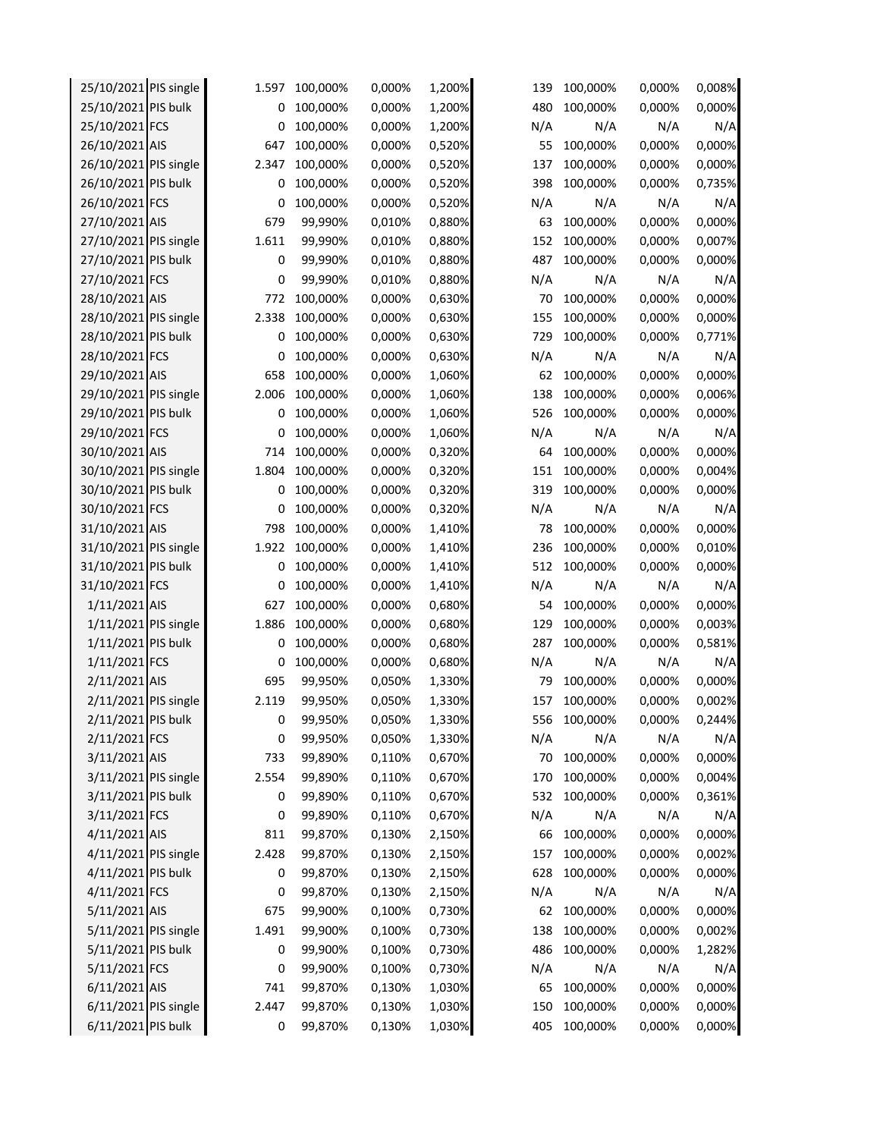| 25/10/2021 PIS single | 1.597 | 100,000% | 0,000% | 1,200% | 139 | 100,000% | 0,000% | 0,008% |
|-----------------------|-------|----------|--------|--------|-----|----------|--------|--------|
| 25/10/2021 PIS bulk   | 0     | 100,000% | 0,000% | 1,200% | 480 | 100,000% | 0,000% | 0,000% |
| 25/10/2021 FCS        | 0     | 100,000% | 0,000% | 1,200% | N/A | N/A      | N/A    | N/A    |
| 26/10/2021 AIS        | 647   | 100,000% | 0,000% | 0,520% | 55  | 100,000% | 0,000% | 0,000% |
| 26/10/2021 PIS single | 2.347 | 100,000% | 0,000% | 0,520% | 137 | 100,000% | 0,000% | 0,000% |
| 26/10/2021 PIS bulk   | 0     | 100,000% | 0,000% | 0,520% | 398 | 100,000% | 0,000% | 0,735% |
| 26/10/2021 FCS        | 0     | 100,000% | 0,000% | 0,520% | N/A | N/A      | N/A    | N/A    |
| 27/10/2021 AIS        | 679   | 99,990%  | 0,010% | 0,880% | 63  | 100,000% | 0,000% | 0,000% |
| 27/10/2021 PIS single | 1.611 | 99,990%  | 0,010% | 0,880% | 152 | 100,000% | 0,000% | 0,007% |
| 27/10/2021 PIS bulk   | 0     | 99,990%  | 0,010% | 0,880% | 487 | 100,000% | 0,000% | 0,000% |
| 27/10/2021 FCS        | 0     | 99,990%  | 0,010% | 0,880% | N/A | N/A      | N/A    | N/A    |
| 28/10/2021 AIS        | 772   | 100,000% | 0,000% | 0,630% | 70  | 100,000% | 0,000% | 0,000% |
| 28/10/2021 PIS single | 2.338 | 100,000% | 0,000% | 0,630% | 155 | 100,000% | 0,000% | 0,000% |
| 28/10/2021 PIS bulk   | 0     | 100,000% | 0,000% | 0,630% | 729 | 100,000% | 0,000% | 0,771% |
| 28/10/2021 FCS        | 0     | 100,000% | 0,000% | 0,630% | N/A | N/A      | N/A    | N/A    |
| 29/10/2021 AIS        | 658   | 100,000% | 0,000% | 1,060% | 62  | 100,000% | 0,000% | 0,000% |
| 29/10/2021 PIS single | 2.006 | 100,000% | 0,000% | 1,060% | 138 | 100,000% | 0,000% | 0,006% |
| 29/10/2021 PIS bulk   | 0     | 100,000% | 0,000% | 1,060% | 526 | 100,000% | 0,000% | 0,000% |
| 29/10/2021 FCS        | 0     | 100,000% | 0,000% | 1,060% | N/A | N/A      | N/A    | N/A    |
| 30/10/2021 AIS        | 714   | 100,000% | 0,000% | 0,320% | 64  | 100,000% | 0,000% | 0,000% |
| 30/10/2021 PIS single | 1.804 | 100,000% | 0,000% | 0,320% | 151 | 100,000% | 0,000% | 0,004% |
| 30/10/2021 PIS bulk   | 0     | 100,000% | 0,000% | 0,320% | 319 | 100,000% | 0,000% | 0,000% |
| 30/10/2021 FCS        | 0     | 100,000% | 0,000% | 0,320% | N/A | N/A      | N/A    | N/A    |
| 31/10/2021 AIS        | 798   | 100,000% | 0,000% | 1,410% | 78  | 100,000% | 0,000% | 0,000% |
| 31/10/2021 PIS single | 1.922 | 100,000% | 0,000% | 1,410% | 236 | 100,000% | 0,000% | 0,010% |
| 31/10/2021 PIS bulk   | 0     | 100,000% | 0,000% | 1,410% | 512 | 100,000% | 0,000% | 0,000% |
| 31/10/2021 FCS        | 0     | 100,000% | 0,000% | 1,410% | N/A | N/A      | N/A    | N/A    |
| 1/11/2021 AIS         | 627   | 100,000% | 0,000% | 0,680% | 54  | 100,000% | 0,000% | 0,000% |
| 1/11/2021 PIS single  | 1.886 | 100,000% | 0,000% | 0,680% | 129 | 100,000% | 0,000% | 0,003% |
| 1/11/2021 PIS bulk    | 0     | 100,000% | 0,000% | 0,680% | 287 | 100,000% | 0,000% | 0,581% |
| 1/11/2021 FCS         | 0     | 100,000% | 0,000% | 0,680% | N/A | N/A      | N/A    | N/A    |
| 2/11/2021 AIS         | 695   | 99,950%  | 0,050% | 1,330% | 79  | 100,000% | 0,000% | 0,000% |
| 2/11/2021 PIS single  | 2.119 | 99,950%  | 0,050% | 1,330% | 157 | 100,000% | 0,000% | 0,002% |
| 2/11/2021 PIS bulk    | 0     | 99,950%  | 0,050% | 1,330% | 556 | 100,000% | 0,000% | 0,244% |
| 2/11/2021 FCS         | 0     | 99,950%  | 0,050% | 1,330% | N/A | N/A      | N/A    | N/A    |
| 3/11/2021 AIS         | 733   | 99,890%  | 0,110% | 0,670% | 70  | 100,000% | 0,000% | 0,000% |
| 3/11/2021 PIS single  | 2.554 | 99,890%  | 0,110% | 0,670% | 170 | 100,000% | 0,000% | 0,004% |
| 3/11/2021 PIS bulk    | 0     | 99,890%  | 0,110% | 0,670% | 532 | 100,000% | 0,000% | 0,361% |
| 3/11/2021 FCS         | 0     | 99,890%  | 0,110% | 0,670% | N/A | N/A      | N/A    | N/A    |
| 4/11/2021 AIS         | 811   | 99,870%  | 0,130% | 2,150% | 66  | 100,000% | 0,000% | 0,000% |
| 4/11/2021 PIS single  | 2.428 | 99,870%  | 0,130% | 2,150% | 157 | 100,000% | 0,000% | 0,002% |
| 4/11/2021 PIS bulk    | 0     | 99,870%  | 0,130% | 2,150% | 628 | 100,000% | 0,000% | 0,000% |
| 4/11/2021 FCS         | 0     | 99,870%  | 0,130% | 2,150% | N/A | N/A      | N/A    | N/A    |
| 5/11/2021 AIS         | 675   | 99,900%  | 0,100% | 0,730% | 62  | 100,000% | 0,000% | 0,000% |
| 5/11/2021 PIS single  | 1.491 | 99,900%  | 0,100% | 0,730% | 138 | 100,000% | 0,000% | 0,002% |
| 5/11/2021 PIS bulk    | 0     | 99,900%  | 0,100% | 0,730% | 486 | 100,000% | 0,000% | 1,282% |
| 5/11/2021 FCS         | 0     | 99,900%  | 0,100% | 0,730% | N/A | N/A      | N/A    | N/A    |
| 6/11/2021 AIS         | 741   | 99,870%  | 0,130% | 1,030% | 65  | 100,000% | 0,000% | 0,000% |
| 6/11/2021 PIS single  | 2.447 | 99,870%  | 0,130% | 1,030% | 150 | 100,000% | 0,000% | 0,000% |
| 6/11/2021 PIS bulk    | 0     | 99,870%  | 0,130% | 1,030% | 405 | 100,000% | 0,000% | 0,000% |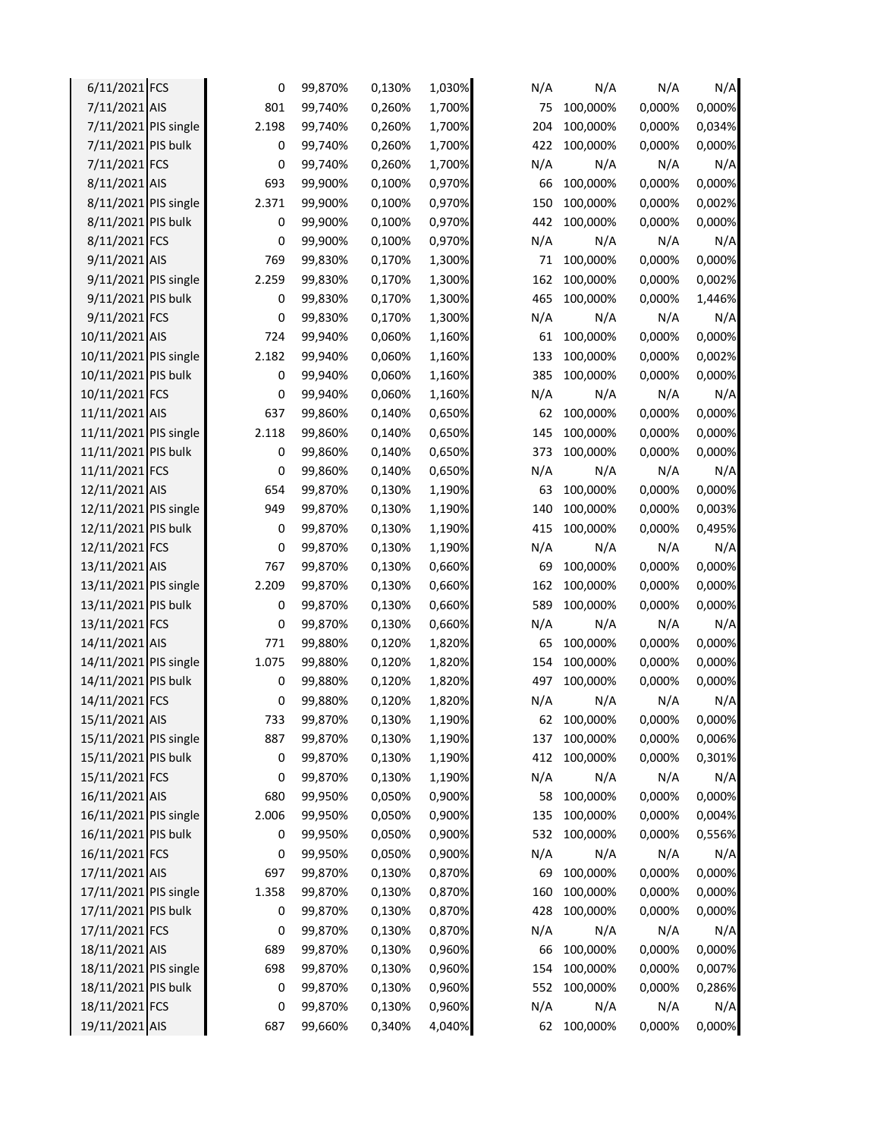| 6/11/2021 FCS         | 0      | 99,870% | 0,130% | 1,030% | N/A | N/A      | N/A    | N/A    |
|-----------------------|--------|---------|--------|--------|-----|----------|--------|--------|
| 7/11/2021 AIS         | 801    | 99,740% | 0,260% | 1,700% | 75  | 100,000% | 0,000% | 0,000% |
| 7/11/2021 PIS single  | 2.198  | 99,740% | 0,260% | 1,700% | 204 | 100,000% | 0,000% | 0,034% |
| 7/11/2021 PIS bulk    | 0      | 99,740% | 0,260% | 1,700% | 422 | 100,000% | 0,000% | 0,000% |
| 7/11/2021 FCS         | 0      | 99,740% | 0,260% | 1,700% | N/A | N/A      | N/A    | N/A    |
| 8/11/2021 AIS         | 693    | 99,900% | 0,100% | 0,970% | 66  | 100,000% | 0,000% | 0,000% |
| 8/11/2021 PIS single  | 2.371  | 99,900% | 0,100% | 0,970% | 150 | 100,000% | 0,000% | 0,002% |
| 8/11/2021 PIS bulk    | 0      | 99,900% | 0,100% | 0,970% | 442 | 100,000% | 0,000% | 0,000% |
| 8/11/2021 FCS         | 0      | 99,900% | 0,100% | 0,970% | N/A | N/A      | N/A    | N/A    |
| 9/11/2021 AIS         | 769    | 99,830% | 0,170% | 1,300% | 71  | 100,000% | 0,000% | 0,000% |
| 9/11/2021 PIS single  | 2.259  | 99,830% | 0,170% | 1,300% | 162 | 100,000% | 0,000% | 0,002% |
| 9/11/2021 PIS bulk    | 0      | 99,830% | 0,170% | 1,300% | 465 | 100,000% | 0,000% | 1,446% |
| 9/11/2021 FCS         | 0      | 99,830% | 0,170% | 1,300% | N/A | N/A      | N/A    | N/A    |
| 10/11/2021 AIS        | 724    | 99,940% | 0,060% | 1,160% | 61  | 100,000% | 0,000% | 0,000% |
| 10/11/2021 PIS single | 2.182  | 99,940% | 0,060% | 1,160% | 133 | 100,000% | 0,000% | 0,002% |
| 10/11/2021 PIS bulk   | 0      | 99,940% | 0,060% | 1,160% | 385 | 100,000% | 0,000% | 0,000% |
| 10/11/2021 FCS        | 0      | 99,940% | 0,060% | 1,160% | N/A | N/A      | N/A    | N/A    |
| 11/11/2021 AIS        | 637    | 99,860% | 0,140% | 0,650% | 62  | 100,000% | 0,000% | 0,000% |
| 11/11/2021 PIS single | 2.118  | 99,860% | 0,140% | 0,650% | 145 | 100,000% | 0,000% | 0,000% |
| 11/11/2021 PIS bulk   | 0      | 99,860% | 0,140% | 0,650% | 373 | 100,000% | 0,000% | 0,000% |
| 11/11/2021 FCS        | 0      | 99,860% | 0,140% | 0,650% | N/A | N/A      | N/A    | N/A    |
| 12/11/2021 AIS        | 654    | 99,870% | 0,130% | 1,190% | 63  | 100,000% | 0,000% | 0,000% |
| 12/11/2021 PIS single | 949    | 99,870% | 0,130% | 1,190% | 140 | 100,000% | 0,000% | 0,003% |
| 12/11/2021 PIS bulk   |        |         |        | 1,190% | 415 |          | 0,000% | 0,495% |
| 12/11/2021 FCS        | 0<br>0 | 99,870% | 0,130% |        | N/A | 100,000% | N/A    | N/A    |
|                       |        | 99,870% | 0,130% | 1,190% |     | N/A      |        | 0,000% |
| 13/11/2021 AIS        | 767    | 99,870% | 0,130% | 0,660% | 69  | 100,000% | 0,000% | 0,000% |
| 13/11/2021 PIS single | 2.209  | 99,870% | 0,130% | 0,660% | 162 | 100,000% | 0,000% |        |
| 13/11/2021 PIS bulk   | 0      | 99,870% | 0,130% | 0,660% | 589 | 100,000% | 0,000% | 0,000% |
| 13/11/2021 FCS        | 0      | 99,870% | 0,130% | 0,660% | N/A | N/A      | N/A    | N/A    |
| 14/11/2021 AIS        | 771    | 99,880% | 0,120% | 1,820% | 65  | 100,000% | 0,000% | 0,000% |
| 14/11/2021 PIS single | 1.075  | 99,880% | 0,120% | 1,820% | 154 | 100,000% | 0,000% | 0,000% |
| 14/11/2021 PIS bulk   | 0      | 99,880% | 0,120% | 1,820% | 497 | 100,000% | 0,000% | 0,000% |
| 14/11/2021 FCS        | 0      | 99,880% | 0,120% | 1,820% | N/A | N/A      | N/A    | N/A    |
| 15/11/2021 AIS        | 733    | 99,870% | 0,130% | 1.190% | 62  | 100,000% | 0,000% | 0,000% |
| 15/11/2021 PIS single | 887    | 99,870% | 0,130% | 1,190% | 137 | 100,000% | 0,000% | 0,006% |
| 15/11/2021 PIS bulk   | 0      | 99,870% | 0,130% | 1,190% | 412 | 100,000% | 0,000% | 0,301% |
| 15/11/2021 FCS        | 0      | 99,870% | 0,130% | 1,190% | N/A | N/A      | N/A    | N/A    |
| 16/11/2021 AIS        | 680    | 99,950% | 0,050% | 0,900% | 58  | 100,000% | 0,000% | 0,000% |
| 16/11/2021 PIS single | 2.006  | 99,950% | 0,050% | 0,900% | 135 | 100,000% | 0,000% | 0,004% |
| 16/11/2021 PIS bulk   | 0      | 99,950% | 0,050% | 0,900% | 532 | 100,000% | 0,000% | 0,556% |
| 16/11/2021 FCS        | 0      | 99,950% | 0,050% | 0,900% | N/A | N/A      | N/A    | N/A    |
| 17/11/2021 AIS        | 697    | 99,870% | 0,130% | 0,870% | 69  | 100,000% | 0,000% | 0,000% |
| 17/11/2021 PIS single | 1.358  | 99,870% | 0,130% | 0,870% | 160 | 100,000% | 0,000% | 0,000% |
| 17/11/2021 PIS bulk   | 0      | 99,870% | 0,130% | 0,870% | 428 | 100,000% | 0,000% | 0,000% |
| 17/11/2021 FCS        | 0      | 99,870% | 0,130% | 0,870% | N/A | N/A      | N/A    | N/A    |
| 18/11/2021 AIS        | 689    | 99,870% | 0,130% | 0,960% | 66  | 100,000% | 0,000% | 0,000% |
| 18/11/2021 PIS single | 698    | 99,870% | 0,130% | 0,960% | 154 | 100,000% | 0,000% | 0,007% |
| 18/11/2021 PIS bulk   | 0      | 99,870% | 0,130% | 0,960% | 552 | 100,000% | 0,000% | 0,286% |
| 18/11/2021 FCS        | 0      | 99,870% | 0,130% | 0,960% | N/A | N/A      | N/A    | N/A    |
| 19/11/2021 AIS        | 687    | 99,660% | 0,340% | 4,040% | 62  | 100,000% | 0,000% | 0,000% |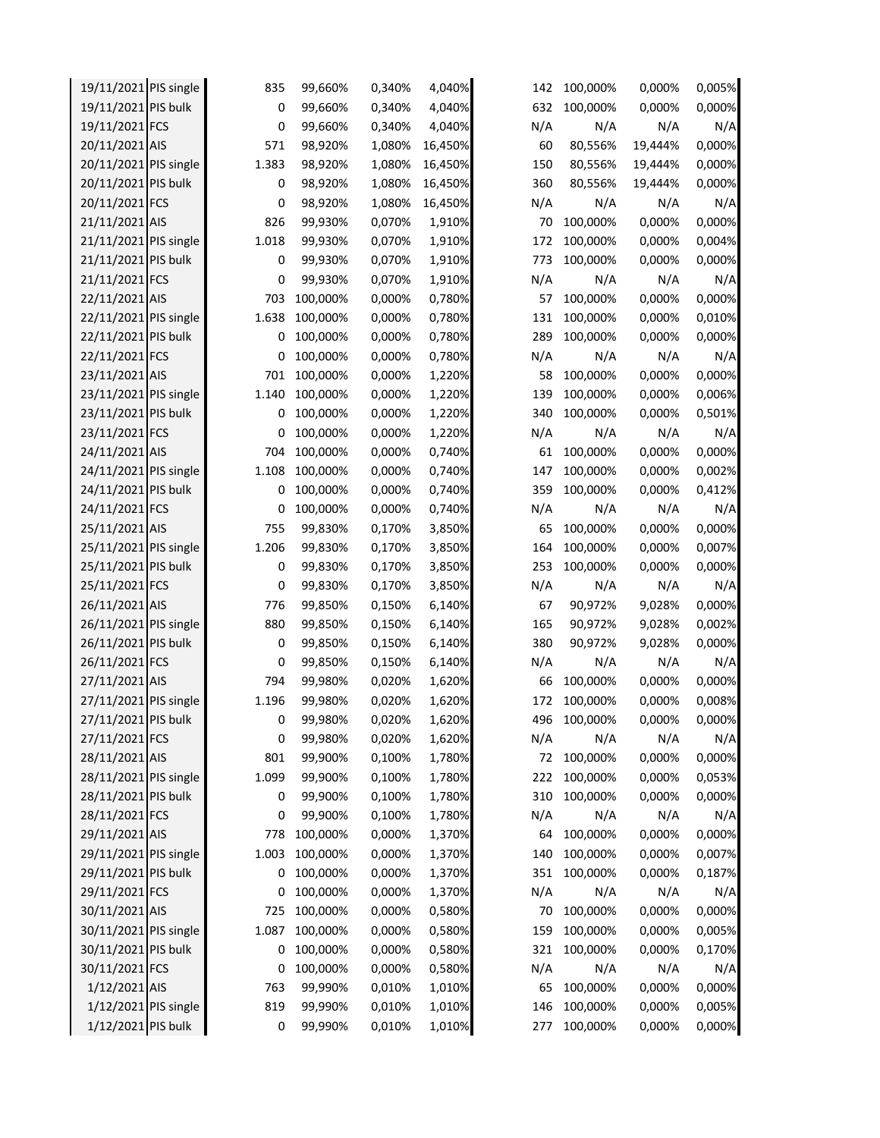| 19/11/2021 PIS single | 835   | 99,660%  | 0,340% | 4,040%  | 142 | 100,000% | 0,000%  | 0,005% |
|-----------------------|-------|----------|--------|---------|-----|----------|---------|--------|
| 19/11/2021 PIS bulk   | 0     | 99,660%  | 0,340% | 4,040%  | 632 | 100,000% | 0,000%  | 0,000% |
| 19/11/2021 FCS        | 0     | 99,660%  | 0,340% | 4,040%  | N/A | N/A      | N/A     | N/A    |
| 20/11/2021 AIS        | 571   | 98,920%  | 1,080% | 16,450% | 60  | 80,556%  | 19,444% | 0,000% |
| 20/11/2021 PIS single | 1.383 | 98,920%  | 1,080% | 16,450% | 150 | 80,556%  | 19,444% | 0,000% |
| 20/11/2021 PIS bulk   | 0     | 98,920%  | 1,080% | 16,450% | 360 | 80,556%  | 19,444% | 0,000% |
| 20/11/2021 FCS        | 0     | 98,920%  | 1,080% | 16,450% | N/A | N/A      | N/A     | N/A    |
| 21/11/2021 AIS        | 826   | 99,930%  | 0,070% | 1,910%  | 70  | 100,000% | 0,000%  | 0,000% |
| 21/11/2021 PIS single | 1.018 | 99,930%  | 0,070% | 1,910%  | 172 | 100,000% | 0,000%  | 0,004% |
| 21/11/2021 PIS bulk   | 0     | 99,930%  | 0,070% | 1,910%  | 773 | 100,000% | 0,000%  | 0,000% |
| 21/11/2021 FCS        | 0     | 99,930%  | 0,070% | 1,910%  | N/A | N/A      | N/A     | N/A    |
| 22/11/2021 AIS        | 703   | 100,000% | 0,000% | 0,780%  | 57  | 100,000% | 0,000%  | 0,000% |
| 22/11/2021 PIS single | 1.638 | 100,000% | 0,000% | 0,780%  | 131 | 100,000% | 0,000%  | 0,010% |
| 22/11/2021 PIS bulk   | 0     | 100,000% | 0,000% | 0,780%  | 289 | 100,000% | 0,000%  | 0,000% |
| 22/11/2021 FCS        | 0     | 100,000% | 0,000% | 0,780%  | N/A | N/A      | N/A     | N/A    |
| 23/11/2021 AIS        | 701   | 100,000% | 0,000% | 1,220%  | 58  | 100,000% | 0,000%  | 0,000% |
| 23/11/2021 PIS single | 1.140 | 100,000% | 0,000% | 1,220%  | 139 | 100,000% | 0,000%  | 0,006% |
| 23/11/2021 PIS bulk   | 0     | 100,000% | 0,000% | 1,220%  | 340 | 100,000% | 0,000%  | 0,501% |
| 23/11/2021 FCS        | 0     | 100,000% | 0,000% | 1,220%  | N/A | N/A      | N/A     | N/A    |
| 24/11/2021 AIS        | 704   | 100,000% | 0,000% | 0,740%  | 61  | 100,000% | 0,000%  | 0,000% |
| 24/11/2021 PIS single | 1.108 | 100,000% | 0,000% | 0,740%  | 147 | 100,000% | 0,000%  | 0,002% |
| 24/11/2021 PIS bulk   | 0     | 100,000% | 0,000% | 0,740%  | 359 | 100,000% | 0,000%  | 0,412% |
| 24/11/2021 FCS        | 0     | 100,000% | 0,000% | 0,740%  | N/A | N/A      | N/A     | N/A    |
| 25/11/2021 AIS        | 755   | 99,830%  | 0,170% | 3,850%  | 65  | 100,000% | 0,000%  | 0,000% |
| 25/11/2021 PIS single | 1.206 | 99,830%  | 0,170% | 3,850%  | 164 | 100,000% | 0,000%  | 0,007% |
| 25/11/2021 PIS bulk   | 0     | 99,830%  | 0,170% | 3,850%  | 253 | 100,000% | 0,000%  | 0,000% |
| 25/11/2021 FCS        | 0     | 99,830%  | 0,170% | 3,850%  | N/A | N/A      | N/A     | N/A    |
| 26/11/2021 AIS        | 776   | 99,850%  | 0,150% | 6,140%  | 67  | 90,972%  | 9,028%  | 0,000% |
| 26/11/2021 PIS single | 880   | 99,850%  | 0,150% | 6,140%  | 165 | 90,972%  | 9,028%  | 0,002% |
| 26/11/2021 PIS bulk   | 0     | 99,850%  | 0,150% | 6,140%  | 380 | 90,972%  | 9,028%  | 0,000% |
| 26/11/2021 FCS        | 0     | 99,850%  | 0,150% | 6,140%  | N/A | N/A      | N/A     | N/A    |
| 27/11/2021 AIS        | 794   | 99,980%  | 0,020% | 1,620%  | 66  | 100,000% | 0,000%  | 0,000% |
| 27/11/2021 PIS single | 1.196 | 99,980%  | 0,020% | 1,620%  | 172 | 100,000% | 0,000%  | 0,008% |
| 27/11/2021 PIS bulk   | 0     | 99,980%  | 0,020% | 1,620%  | 496 | 100,000% | 0,000%  | 0,000% |
| 27/11/2021 FCS        | 0     | 99,980%  | 0,020% | 1,620%  | N/A | N/A      | N/A     | N/A    |
| 28/11/2021 AIS        | 801   | 99,900%  | 0,100% | 1,780%  | 72  | 100,000% | 0,000%  | 0,000% |
| 28/11/2021 PIS single | 1.099 | 99,900%  | 0,100% | 1,780%  | 222 | 100,000% | 0,000%  | 0,053% |
| 28/11/2021 PIS bulk   | 0     | 99,900%  | 0,100% | 1,780%  | 310 | 100,000% | 0,000%  | 0,000% |
| 28/11/2021 FCS        | 0     | 99,900%  | 0,100% | 1,780%  | N/A | N/A      | N/A     | N/A    |
| 29/11/2021 AIS        | 778   | 100,000% | 0,000% | 1,370%  | 64  | 100,000% | 0,000%  | 0,000% |
| 29/11/2021 PIS single | 1.003 | 100,000% | 0,000% | 1,370%  | 140 | 100,000% | 0,000%  | 0,007% |
| 29/11/2021 PIS bulk   | 0     | 100,000% | 0,000% | 1,370%  | 351 | 100,000% | 0,000%  | 0,187% |
| 29/11/2021 FCS        | 0     | 100,000% | 0,000% | 1,370%  | N/A | N/A      | N/A     | N/A    |
| 30/11/2021 AIS        | 725   | 100,000% | 0,000% | 0,580%  | 70  | 100,000% | 0,000%  | 0,000% |
| 30/11/2021 PIS single | 1.087 | 100,000% | 0,000% | 0,580%  | 159 | 100,000% | 0,000%  | 0,005% |
| 30/11/2021 PIS bulk   | 0     | 100,000% | 0,000% | 0,580%  | 321 | 100,000% | 0,000%  | 0,170% |
| 30/11/2021 FCS        | 0     | 100,000% | 0,000% | 0,580%  | N/A | N/A      | N/A     | N/A    |
| 1/12/2021 AIS         | 763   | 99,990%  | 0,010% | 1,010%  | 65  | 100,000% | 0,000%  | 0,000% |
| 1/12/2021 PIS single  | 819   | 99,990%  | 0,010% | 1,010%  | 146 | 100,000% | 0,000%  | 0,005% |
| 1/12/2021 PIS bulk    | 0     | 99,990%  | 0,010% | 1,010%  | 277 | 100,000% | 0,000%  | 0,000% |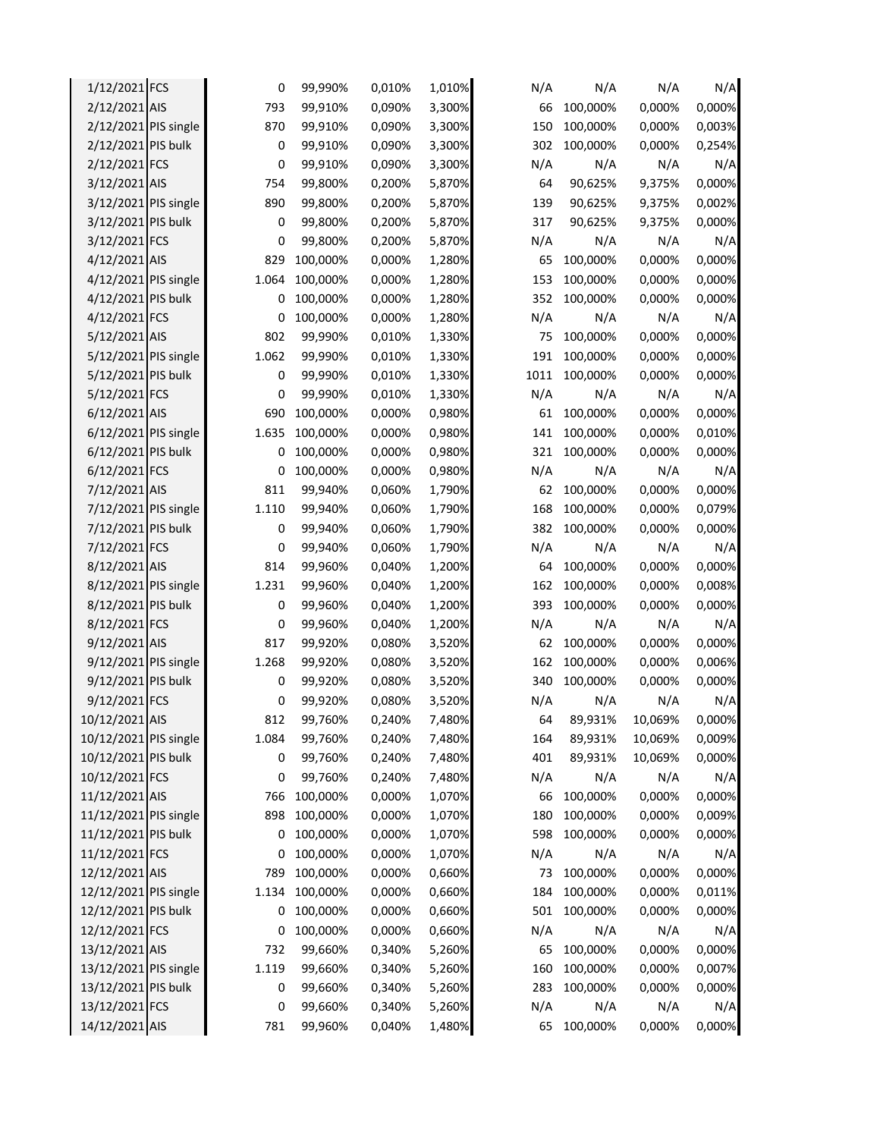| 1/12/2021 FCS         | 0     | 99,990%  | 0,010% | 1,010% | N/A  | N/A      | N/A     | N/A    |
|-----------------------|-------|----------|--------|--------|------|----------|---------|--------|
| 2/12/2021 AIS         | 793   | 99,910%  | 0,090% | 3,300% | 66   | 100,000% | 0,000%  | 0,000% |
| 2/12/2021 PIS single  | 870   | 99,910%  | 0,090% | 3,300% | 150  | 100,000% | 0,000%  | 0,003% |
| 2/12/2021 PIS bulk    | 0     | 99,910%  | 0,090% | 3,300% | 302  | 100,000% | 0,000%  | 0,254% |
| 2/12/2021 FCS         | 0     | 99,910%  | 0,090% | 3,300% | N/A  | N/A      | N/A     | N/A    |
| 3/12/2021 AIS         | 754   | 99,800%  | 0,200% | 5,870% | 64   | 90,625%  | 9,375%  | 0,000% |
| 3/12/2021 PIS single  | 890   | 99,800%  | 0,200% | 5,870% | 139  | 90,625%  | 9,375%  | 0,002% |
| 3/12/2021 PIS bulk    | 0     | 99,800%  | 0,200% | 5,870% | 317  | 90,625%  | 9,375%  | 0,000% |
| 3/12/2021 FCS         | 0     | 99,800%  | 0,200% | 5,870% | N/A  | N/A      | N/A     | N/A    |
| 4/12/2021 AIS         | 829   | 100,000% | 0,000% | 1,280% | 65   | 100,000% | 0,000%  | 0,000% |
| 4/12/2021 PIS single  | 1.064 | 100,000% | 0,000% | 1,280% | 153  | 100,000% | 0,000%  | 0,000% |
| 4/12/2021 PIS bulk    | 0     | 100,000% | 0,000% | 1,280% | 352  | 100,000% | 0,000%  | 0,000% |
| 4/12/2021 FCS         | 0     | 100,000% | 0,000% | 1,280% | N/A  | N/A      | N/A     | N/A    |
| 5/12/2021 AIS         | 802   | 99,990%  | 0,010% | 1,330% | 75   | 100,000% | 0,000%  | 0,000% |
| 5/12/2021 PIS single  | 1.062 | 99,990%  | 0,010% | 1,330% | 191  | 100,000% | 0,000%  | 0,000% |
| 5/12/2021 PIS bulk    | 0     | 99,990%  | 0,010% | 1,330% | 1011 | 100,000% | 0,000%  | 0,000% |
| 5/12/2021 FCS         | 0     | 99,990%  | 0,010% | 1,330% | N/A  | N/A      | N/A     | N/A    |
| 6/12/2021 AIS         | 690   | 100,000% | 0,000% | 0,980% | 61   | 100,000% | 0,000%  | 0,000% |
| 6/12/2021 PIS single  | 1.635 | 100,000% | 0,000% | 0,980% | 141  | 100,000% | 0,000%  | 0,010% |
| 6/12/2021 PIS bulk    | 0     | 100,000% | 0,000% | 0,980% | 321  | 100,000% | 0,000%  | 0,000% |
| 6/12/2021 FCS         | 0     | 100,000% | 0,000% | 0,980% | N/A  | N/A      | N/A     | N/A    |
| 7/12/2021 AIS         | 811   | 99,940%  | 0,060% | 1,790% | 62   | 100,000% | 0,000%  | 0,000% |
| 7/12/2021 PIS single  | 1.110 | 99,940%  | 0,060% | 1,790% | 168  | 100,000% | 0,000%  | 0,079% |
| 7/12/2021 PIS bulk    | 0     | 99,940%  | 0,060% | 1,790% | 382  | 100,000% | 0,000%  | 0,000% |
| 7/12/2021 FCS         | 0     | 99,940%  | 0,060% | 1,790% | N/A  | N/A      | N/A     | N/A    |
| 8/12/2021 AIS         | 814   | 99,960%  | 0,040% | 1,200% | 64   | 100,000% | 0,000%  | 0,000% |
| 8/12/2021 PIS single  | 1.231 | 99,960%  | 0,040% | 1,200% | 162  | 100,000% | 0,000%  | 0,008% |
| 8/12/2021 PIS bulk    | 0     | 99,960%  | 0,040% | 1,200% | 393  | 100,000% | 0,000%  | 0,000% |
| 8/12/2021 FCS         | 0     | 99,960%  | 0,040% | 1,200% | N/A  | N/A      | N/A     | N/A    |
| 9/12/2021 AIS         | 817   | 99,920%  | 0,080% | 3,520% | 62   | 100,000% | 0,000%  | 0,000% |
| 9/12/2021 PIS single  | 1.268 | 99,920%  | 0,080% | 3,520% | 162  | 100,000% | 0,000%  | 0,006% |
| 9/12/2021 PIS bulk    | 0     | 99,920%  | 0,080% | 3,520% | 340  | 100,000% | 0,000%  | 0,000% |
| 9/12/2021 FCS         | 0     | 99,920%  | 0,080% | 3,520% | N/A  | N/A      | N/A     | N/A    |
| 10/12/2021 AIS        | 812   | 99,760%  | 0,240% | 7,480% | 64   | 89,931%  | 10,069% | 0,000% |
| 10/12/2021 PIS single | 1.084 | 99,760%  | 0,240% | 7,480% | 164  | 89,931%  | 10,069% | 0,009% |
| 10/12/2021 PIS bulk   | 0     | 99,760%  | 0,240% | 7,480% | 401  | 89,931%  | 10,069% | 0,000% |
| 10/12/2021 FCS        | 0     | 99,760%  | 0,240% | 7,480% | N/A  | N/A      | N/A     | N/A    |
| 11/12/2021 AIS        | 766   | 100,000% | 0,000% | 1,070% | 66   | 100,000% | 0,000%  | 0,000% |
| 11/12/2021 PIS single | 898   | 100,000% | 0,000% | 1,070% | 180  | 100,000% | 0,000%  | 0,009% |
| 11/12/2021 PIS bulk   | 0     | 100,000% | 0,000% | 1,070% | 598  | 100,000% | 0,000%  | 0,000% |
| 11/12/2021 FCS        | 0     | 100,000% | 0,000% | 1,070% | N/A  | N/A      | N/A     | N/A    |
| 12/12/2021 AIS        | 789   | 100,000% | 0,000% | 0,660% | 73   | 100,000% | 0,000%  | 0,000% |
| 12/12/2021 PIS single | 1.134 | 100,000% | 0,000% | 0,660% | 184  | 100,000% | 0,000%  | 0,011% |
| 12/12/2021 PIS bulk   | 0     | 100,000% | 0,000% | 0,660% | 501  | 100,000% | 0,000%  | 0,000% |
|                       |       |          |        |        |      |          |         |        |
| 12/12/2021 FCS        | 0     | 100,000% | 0,000% | 0,660% | N/A  | N/A      | N/A     | N/A    |
| 13/12/2021 AIS        | 732   | 99,660%  | 0,340% | 5,260% | 65   | 100,000% | 0,000%  | 0,000% |
| 13/12/2021 PIS single | 1.119 | 99,660%  | 0,340% | 5,260% | 160  | 100,000% | 0,000%  | 0,007% |
| 13/12/2021 PIS bulk   | 0     | 99,660%  | 0,340% | 5,260% | 283  | 100,000% | 0,000%  | 0,000% |
| 13/12/2021 FCS        | 0     | 99,660%  | 0,340% | 5,260% | N/A  | N/A      | N/A     | N/A    |
| 14/12/2021 AIS        | 781   | 99,960%  | 0,040% | 1,480% | 65   | 100,000% | 0,000%  | 0,000% |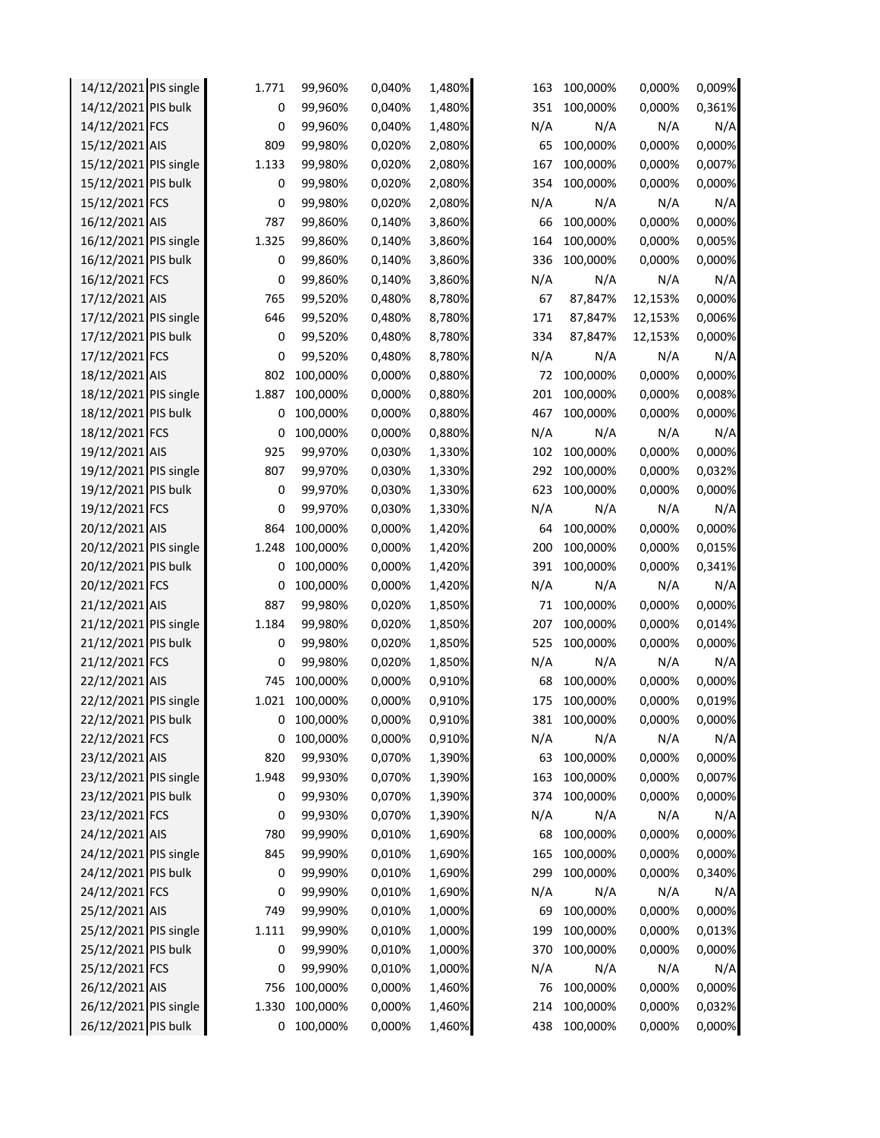| 14/12/2021 PIS single | 1.771 | 99,960%  | 0,040% | 1,480% | 163 | 100,000% | 0,000%  | 0,009% |
|-----------------------|-------|----------|--------|--------|-----|----------|---------|--------|
| 14/12/2021 PIS bulk   | 0     | 99,960%  | 0,040% | 1,480% | 351 | 100,000% | 0,000%  | 0,361% |
| 14/12/2021 FCS        | 0     | 99,960%  | 0,040% | 1,480% | N/A | N/A      | N/A     | N/A    |
| 15/12/2021 AIS        | 809   | 99,980%  | 0,020% | 2,080% | 65  | 100,000% | 0,000%  | 0,000% |
| 15/12/2021 PIS single | 1.133 | 99,980%  | 0,020% | 2,080% | 167 | 100,000% | 0,000%  | 0,007% |
| 15/12/2021 PIS bulk   | 0     | 99,980%  | 0,020% | 2,080% | 354 | 100,000% | 0,000%  | 0,000% |
| 15/12/2021 FCS        | 0     | 99,980%  | 0,020% | 2,080% | N/A | N/A      | N/A     | N/A    |
| 16/12/2021 AIS        | 787   | 99,860%  | 0,140% | 3,860% | 66  | 100,000% | 0,000%  | 0,000% |
| 16/12/2021 PIS single | 1.325 | 99,860%  | 0,140% | 3,860% | 164 | 100,000% | 0,000%  | 0,005% |
| 16/12/2021 PIS bulk   | 0     | 99,860%  | 0,140% | 3,860% | 336 | 100,000% | 0,000%  | 0,000% |
| 16/12/2021 FCS        | 0     | 99,860%  | 0,140% | 3,860% | N/A | N/A      | N/A     | N/A    |
| 17/12/2021 AIS        | 765   | 99,520%  | 0,480% | 8,780% | 67  | 87,847%  | 12,153% | 0,000% |
| 17/12/2021 PIS single | 646   | 99,520%  | 0,480% | 8,780% | 171 | 87,847%  | 12,153% | 0,006% |
| 17/12/2021 PIS bulk   | 0     | 99,520%  | 0,480% | 8,780% | 334 | 87,847%  | 12,153% | 0,000% |
| 17/12/2021 FCS        | 0     | 99,520%  | 0,480% | 8,780% | N/A | N/A      | N/A     | N/A    |
| 18/12/2021 AIS        | 802   | 100,000% | 0,000% | 0,880% | 72  | 100,000% | 0,000%  | 0,000% |
| 18/12/2021 PIS single | 1.887 | 100,000% | 0,000% | 0,880% | 201 | 100,000% | 0,000%  | 0,008% |
| 18/12/2021 PIS bulk   | 0     | 100,000% | 0,000% | 0,880% | 467 | 100,000% | 0,000%  | 0,000% |
| 18/12/2021 FCS        | 0     | 100,000% | 0,000% | 0,880% | N/A | N/A      | N/A     | N/A    |
| 19/12/2021 AIS        | 925   | 99,970%  | 0,030% | 1,330% | 102 | 100,000% | 0,000%  | 0,000% |
| 19/12/2021 PIS single | 807   | 99,970%  | 0,030% | 1,330% | 292 | 100,000% | 0,000%  | 0,032% |
| 19/12/2021 PIS bulk   | 0     | 99,970%  | 0,030% | 1,330% | 623 | 100,000% | 0,000%  | 0,000% |
| 19/12/2021 FCS        | 0     | 99,970%  | 0,030% | 1,330% | N/A | N/A      | N/A     | N/A    |
| 20/12/2021 AIS        | 864   | 100,000% | 0,000% | 1,420% | 64  | 100,000% | 0,000%  | 0,000% |
| 20/12/2021 PIS single | 1.248 | 100,000% | 0,000% | 1,420% | 200 | 100,000% | 0,000%  | 0,015% |
| 20/12/2021 PIS bulk   | 0     | 100,000% | 0,000% | 1,420% | 391 | 100,000% | 0,000%  | 0,341% |
| 20/12/2021 FCS        | 0     | 100,000% | 0,000% | 1,420% | N/A | N/A      | N/A     | N/A    |
| 21/12/2021 AIS        | 887   | 99,980%  | 0,020% | 1,850% | 71  | 100,000% | 0,000%  | 0,000% |
| 21/12/2021 PIS single | 1.184 | 99,980%  | 0,020% | 1,850% | 207 | 100,000% | 0,000%  | 0,014% |
| 21/12/2021 PIS bulk   | 0     | 99,980%  | 0,020% | 1,850% | 525 | 100,000% | 0,000%  | 0,000% |
| 21/12/2021 FCS        | 0     | 99,980%  | 0,020% | 1,850% | N/A | N/A      | N/A     | N/A    |
| 22/12/2021 AIS        | 745   | 100,000% | 0,000% | 0,910% | 68  | 100,000% | 0,000%  | 0,000% |
| 22/12/2021 PIS single | 1.021 | 100,000% | 0,000% | 0,910% | 175 | 100,000% | 0,000%  | 0,019% |
| 22/12/2021 PIS bulk   | 0     | 100,000% | 0,000% | 0,910% | 381 | 100,000% | 0,000%  | 0,000% |
| 22/12/2021 FCS        | 0     | 100,000% | 0,000% | 0,910% | N/A | N/A      | N/A     | N/A    |
| 23/12/2021 AIS        | 820   | 99,930%  | 0,070% | 1,390% | 63  | 100,000% | 0,000%  | 0,000% |
| 23/12/2021 PIS single | 1.948 | 99,930%  | 0,070% | 1,390% | 163 | 100,000% | 0,000%  | 0,007% |
| 23/12/2021 PIS bulk   | 0     | 99,930%  | 0,070% | 1,390% | 374 | 100,000% | 0,000%  | 0,000% |
| 23/12/2021 FCS        | 0     | 99,930%  | 0,070% | 1,390% | N/A | N/A      | N/A     | N/A    |
| 24/12/2021 AIS        | 780   | 99,990%  | 0,010% | 1,690% | 68  | 100,000% | 0,000%  | 0,000% |
| 24/12/2021 PIS single | 845   | 99,990%  | 0,010% | 1,690% | 165 | 100,000% | 0,000%  | 0,000% |
| 24/12/2021 PIS bulk   | 0     | 99,990%  | 0,010% | 1,690% | 299 | 100,000% | 0,000%  | 0,340% |
| 24/12/2021 FCS        | 0     | 99,990%  | 0,010% | 1,690% | N/A | N/A      | N/A     | N/A    |
| 25/12/2021 AIS        | 749   | 99,990%  | 0,010% | 1,000% | 69  | 100,000% | 0,000%  | 0,000% |
| 25/12/2021 PIS single | 1.111 | 99,990%  | 0,010% | 1,000% | 199 | 100,000% | 0,000%  | 0,013% |
| 25/12/2021 PIS bulk   | 0     | 99,990%  | 0,010% | 1,000% | 370 | 100,000% | 0,000%  | 0,000% |
| 25/12/2021 FCS        | 0     | 99,990%  | 0,010% | 1,000% | N/A | N/A      | N/A     | N/A    |
| 26/12/2021 AIS        | 756   | 100,000% | 0,000% | 1,460% | 76  | 100,000% | 0,000%  | 0,000% |
| 26/12/2021 PIS single | 1.330 | 100,000% | 0,000% | 1,460% | 214 | 100,000% | 0,000%  | 0,032% |
| 26/12/2021 PIS bulk   | 0     | 100,000% | 0,000% | 1,460% | 438 | 100,000% | 0,000%  | 0,000% |